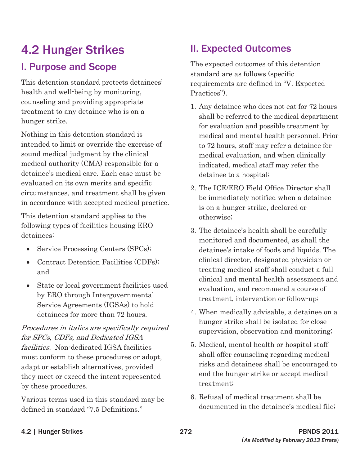# **4.2 Hunger Strikes Manual Expected Outcomes**

This detention standard protects detainees' requirements are defined in "V. Expected" health and well-being by monitoring, Practices".

intended to limit or override the exercise of the results to 72 hours, staff may refer a detainee for sound medical judgment by the clinical medical evaluation, and when clinically medical authority (CMA) responsible for a indicated, medical staff may refer the detainee's medical care. Each case must be detainee to a hospital; evaluated on its own merits and specific<br>circumstances, and treatment shall be given<br>in accordance with accepted medical practice.<br>is on a hunger strike, declared or

This detention standard applies to the otherwise;

- 
- 
- 

# facilities. Non-dedicated IGSA facilities 5. Medical, mental health or hospital staff must conform to these procedures or adopt, shall offer counseling regarding medical they meet or exceed the intent represented end the hunger strike or accept medical by these procedures. treatment;

defined in standard "7.5 Definitions." documented in the detainee's medical file;

**I. Purpose and Scope** The expected outcomes of this detention standard are as follows (specific

- counseling and providing appropriate<br>treatment to any detainee who is on a shall be referred to the medical department<br>hunger strike. for evaluation and possible treatment by Nothing in this detention standard is medical and mental health personnel. Prior
	-
- following types of facilities housing ERO 3. The detainee's health shall be carefully detainees:<br>monitored and documented, as shall the • Service Processing Centers (SPCs); detainee's intake of foods and liquids. The • Contract Detention Facilities (CDFs); clinical director, designated physician or and treating medical staff shall conduct a full • State or local government facilities used<br>by ERO through Intergovernmental<br>Service Agreements (IGSAs) to hold<br>Service Agreements (IGSAs) to hold
- detainees for more than 72 hours. 4. When medically advisable, a detainee on a Procedures in italics are specifically required<br>for SPCs, CDFs, and Dedicated IGSA<br>for SPCs, CDFs, and Dedicated IGSA
- adapt or establish alternatives, provided risks and detainees shall be encouraged to
- Various terms used in this standard may be 6. Refusal of medical treatment shall be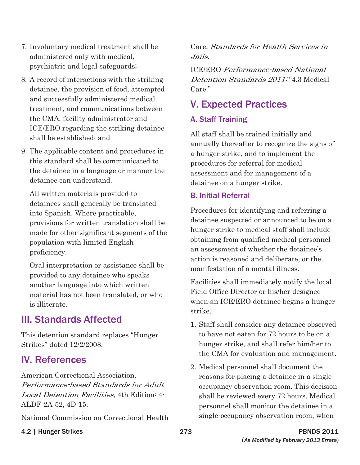- 7. Involuntary medical treatment shall be administered only with medical, psychiatric and legal safeguards;
- 8. A record of interactions with the striking detainee, the provision of food, attempted and successfully administered medical treatment, and communications between the CMA, facility administrator and ICE/ERO regarding the striking detainee shall be established; and
- 9. The applicable content and procedures in this standard shall be communicated to the detainee in a language or manner the detainee can understand.

All written materials provided to detainees shall generally be translated into Spanish. Where practicable, provisions for written translation shall be made for other significant segments of the population with limited English proficiency.

Oral interpretation or assistance shall be provided to any detainee who speaks another language into which written material has not been translated, or who is illiterate.

### III. Standards Affected

This detention standard replaces "Hunger Strikes" dated 12/2/2008.

#### IV. References

American Correctional Association, Performance-based Standards for Adult Local Detention Facilities, 4th Edition: 4 ALDF-2A-52, 4D-15.

National Commission on Correctional Health

Care, Standards for Health Services in Jails.

ICE/ERO Performance-based National Detention Standards 2011:"4.3 Medical Care."

## V. Expected Practices

#### A. Staff Training

All staff shall be trained initially and annually thereafter to recognize the signs of a hunger strike, and to implement the procedures for referral for medical assessment and for management of a detainee on a hunger strike.

#### B. Initial Referral

Procedures for identifying and referring a detainee suspected or announced to be on a hunger strike to medical staff shall include obtaining from qualified medical personnel an assessment of whether the detainee's action is reasoned and deliberate, or the manifestation of a mental illness.

Facilities shall immediately notify the local Field Office Director or his/her designee when an ICE/ERO detainee begins a hunger strike.

- 1. Staff shall consider any detainee observed to have not eaten for 72 hours to be on a hunger strike, and shall refer him/her to the CMA for evaluation and management.
- 2. Medical personnel shall document the reasons for placing a detainee in a single occupancy observation room. This decision shall be reviewed every 72 hours. Medical personnel shall monitor the detainee in a single-occupancy observation room, when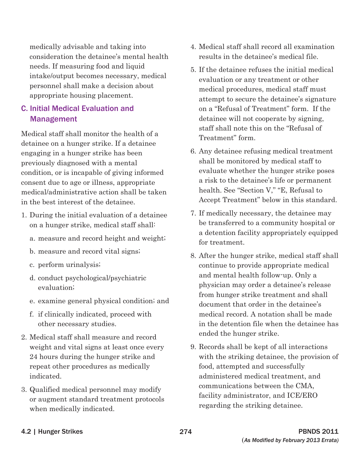medically advisable and taking into consideration the detainee's mental health needs. If measuring food and liquid intake/output becomes necessary, medical personnel shall make a decision about appropriate housing placement.

#### C. Initial Medical Evaluation and Management

Medical staff shall monitor the health of a detainee on a hunger strike. If a detainee engaging in a hunger strike has been previously diagnosed with a mental condition, or is incapable of giving informed consent due to age or illness, appropriate medical/administrative action shall be taken in the best interest of the detainee.

- 1. During the initial evaluation of a detainee on a hunger strike, medical staff shall:
	- a. measure and record height and weight;
	- b. measure and record vital signs;
	- c. perform urinalysis;
	- d. conduct psychological/psychiatric evaluation;
	- e. examine general physical condition; and
	- f. if clinically indicated, proceed with other necessary studies.
- 2. Medical staff shall measure and record weight and vital signs at least once every 24 hours during the hunger strike and repeat other procedures as medically indicated.
- 3. Qualified medical personnel may modify or augment standard treatment protocols when medically indicated.
- 4. Medical staff shall record all examination results in the detainee's medical file.
- 5. If the detainee refuses the initial medical evaluation or any treatment or other medical procedures, medical staff must attempt to secure the detainee's signature on a "Refusal of Treatment" form. If the detainee will not cooperate by signing, staff shall note this on the "Refusal of Treatment" form.
- 6. Any detainee refusing medical treatment shall be monitored by medical staff to evaluate whether the hunger strike poses a risk to the detainee's life or permanent health. See "Section V," "E, Refusal to Accept Treatment" below in this standard.
- 7. If medically necessary, the detainee may be transferred to a community hospital or a detention facility appropriately equipped for treatment.
- 8. After the hunger strike, medical staff shall continue to provide appropriate medical and mental health follow-up. Only a physician may order a detainee's release from hunger strike treatment and shall document that order in the detainee's medical record. A notation shall be made in the detention file when the detainee has ended the hunger strike.
- 9. Records shall be kept of all interactions with the striking detainee, the provision of food, attempted and successfully administered medical treatment, and communications between the CMA, facility administrator, and ICE/ERO regarding the striking detainee.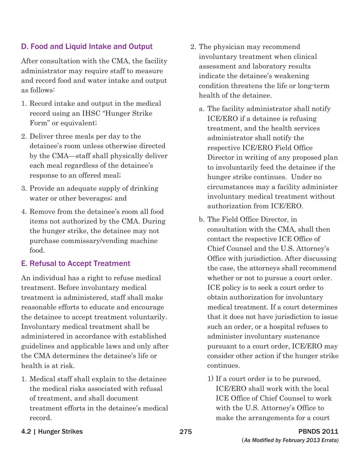#### D. Food and Liquid Intake and Output

After consultation with the CMA, the facility administrator may require staff to measure and record food and water intake and output as follows:

- 1. Record intake and output in the medical record using an IHSC "Hunger Strike Form" or equivalent;
- 2. Deliver three meals per day to the detainee's room unless otherwise directed by the CMA—staff shall physically deliver each meal regardless of the detainee's response to an offered meal;
- 3. Provide an adequate supply of drinking water or other beverages; and
- 4. Remove from the detainee's room all food items not authorized by the CMA. During the hunger strike, the detainee may not purchase commissary/vending machine food.

#### E. Refusal to Accept Treatment

An individual has a right to refuse medical treatment. Before involuntary medical treatment is administered, staff shall make reasonable efforts to educate and encourage the detainee to accept treatment voluntarily. Involuntary medical treatment shall be administered in accordance with established guidelines and applicable laws and only after the CMA determines the detainee's life or health is at risk.

1. Medical staff shall explain to the detainee the medical risks associated with refusal of treatment, and shall document treatment efforts in the detainee's medical record.

- 2. The physician may recommend involuntary treatment when clinical assessment and laboratory results indicate the detainee's weakening condition threatens the life or long-term health of the detainee.
	- a. The facility administrator shall notify ICE/ERO if a detainee is refusing treatment, and the health services administrator shall notify the respective ICE/ERO Field Office Director in writing of any proposed plan to involuntarily feed the detainee if the hunger strike continues. Under no circumstances may a facility administer involuntary medical treatment without authorization from ICE/ERO.
	- b. The Field Office Director, in consultation with the CMA, shall then contact the respective ICE Office of Chief Counsel and the U.S. Attorney's Office with jurisdiction. After discussing the case, the attorneys shall recommend whether or not to pursue a court order. ICE policy is to seek a court order to obtain authorization for involuntary medical treatment. If a court determines that it does not have jurisdiction to issue such an order, or a hospital refuses to administer involuntary sustenance pursuant to a court order, ICE/ERO may consider other action if the hunger strike continues.
		- 1) If a court order is to be pursued, ICE/ERO shall work with the local ICE Office of Chief Counsel to work with the U.S. Attorney's Office to make the arrangements for a court

4.2 | Hunger Strikes